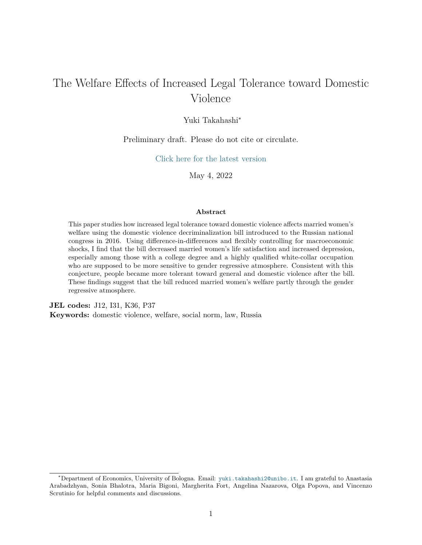# The Welfare Effects of Increased Legal Tolerance toward Domestic Violence

#### Yuki Takahashi<sup>∗</sup>

#### Preliminary draft. Please do not cite or circulate.

[Click here for the latest version](https://yukitakahashi1.github.io/files/DVRussia.pdf)

May 4, 2022

#### **Abstract**

This paper studies how increased legal tolerance toward domestic violence affects married women's welfare using the domestic violence decriminalization bill introduced to the Russian national congress in 2016. Using difference-in-differences and flexibly controlling for macroeconomic shocks, I find that the bill decreased married women's life satisfaction and increased depression, especially among those with a college degree and a highly qualified white-collar occupation who are supposed to be more sensitive to gender regressive atmosphere. Consistent with this conjecture, people became more tolerant toward general and domestic violence after the bill. These findings suggest that the bill reduced married women's welfare partly through the gender regressive atmosphere.

**JEL codes:** J12, I31, K36, P37 **Keywords:** domestic violence, welfare, social norm, law, Russia

<sup>∗</sup>Department of Economics, University of Bologna. Email: [yuki.takahashi2@unibo.it](mailto:yuki.takahashi2@unibo.it). I am grateful to Anastasia Arabadzhyan, Sonia Bhalotra, Maria Bigoni, Margherita Fort, Angelina Nazarova, Olga Popova, and Vincenzo Scrutinio for helpful comments and discussions.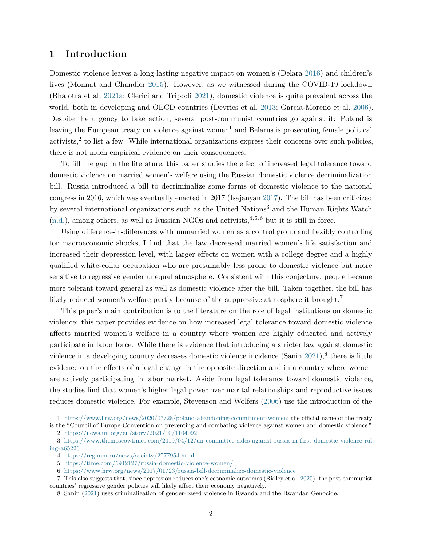#### **1 Introduction**

Domestic violence leaves a long-lasting negative impact on women's (Delara [2016\)](#page-15-0) and children's lives (Monnat and Chandler [2015\)](#page-16-0). However, as we witnessed during the COVID-19 lockdown (Bhalotra et al. [2021a;](#page-15-1) Clerici and Tripodi [2021\)](#page-15-2), domestic violence is quite prevalent across the world, both in developing and OECD countries (Devries et al. [2013;](#page-15-3) Garcia-Moreno et al. [2006\)](#page-15-4). Despite the urgency to take action, several post-communist countries go against it: Poland is leaving the European treaty on violence against women<sup>1</sup> and Belarus is prosecuting female political  $\alpha$ activists,<sup>2</sup> to list a few. While international organizations express their concerns over such policies, there is not much empirical evidence on their consequences.

To fill the gap in the literature, this paper studies the effect of increased legal tolerance toward domestic violence on married women's welfare using the Russian domestic violence decriminalization bill. Russia introduced a bill to decriminalize some forms of domestic violence to the national congress in 2016, which was eventually enacted in 2017 (Isajanyan [2017\)](#page-16-1). The bill has been criticized by several international organizations such as the United Nations<sup>3</sup> and the Human Rights Watch  $(n.d.)$ , among others, as well as Russian NGOs and activists,  $4,5,6$  but it is still in force.

Using difference-in-differences with unmarried women as a control group and flexibly controlling for macroeconomic shocks, I find that the law decreased married women's life satisfaction and increased their depression level, with larger effects on women with a college degree and a highly qualified white-collar occupation who are presumably less prone to domestic violence but more sensitive to regressive gender unequal atmosphere. Consistent with this conjecture, people became more tolerant toward general as well as domestic violence after the bill. Taken together, the bill has likely reduced women's welfare partly because of the suppressive atmosphere it brought.<sup>7</sup>

This paper's main contribution is to the literature on the role of legal institutions on domestic violence: this paper provides evidence on how increased legal tolerance toward domestic violence affects married women's welfare in a country where women are highly educated and actively participate in labor force. While there is evidence that introducing a stricter law against domestic violence in a developing country decreases domestic violence incidence (Sanin  $2021$ ),<sup>8</sup> there is little evidence on the effects of a legal change in the opposite direction and in a country where women are actively participating in labor market. Aside from legal tolerance toward domestic violence, the studies find that women's higher legal power over marital relationships and reproductive issues reduces domestic violence. For example, Stevenson and Wolfers [\(2006\)](#page-16-4) use the introduction of the

5. <https://time.com/5942127/russia-domestic-violence-women/>

<sup>1.</sup> [https://www.hrw.org/news/2020/07/28/poland-abandoning-commitment-women;](https://www.hrw.org/news/2020/07/28/poland-abandoning-commitment-women) the official name of the treaty is the "Council of Europe Convention on preventing and combating violence against women and domestic violence."

<sup>2.</sup> <https://news.un.org/en/story/2021/10/1104092>

<sup>3.</sup> [https://www.themoscowtimes.com/2019/04/12/un-committee-sides-against-russia-in-first-domestic-violence-rul](https://www.themoscowtimes.com/2019/04/12/un-committee-sides-against-russia-in-first-domestic-violence-ruling-a65226) [ing-a65226](https://www.themoscowtimes.com/2019/04/12/un-committee-sides-against-russia-in-first-domestic-violence-ruling-a65226)

<sup>4.</sup> <https://regnum.ru/news/society/2777954.html>

<sup>6.</sup> <https://www.hrw.org/news/2017/01/23/russia-bill-decriminalize-domestic-violence>

<sup>7.</sup> This also suggests that, since depression reduces one's economic outcomes (Ridley et al. [2020\)](#page-16-5), the post-communist countries' regressive gender policies will likely affect their economy negatively.

<sup>8.</sup> Sanin [\(2021\)](#page-16-3) uses criminalization of gender-based violence in Rwanda and the Rwandan Genocide.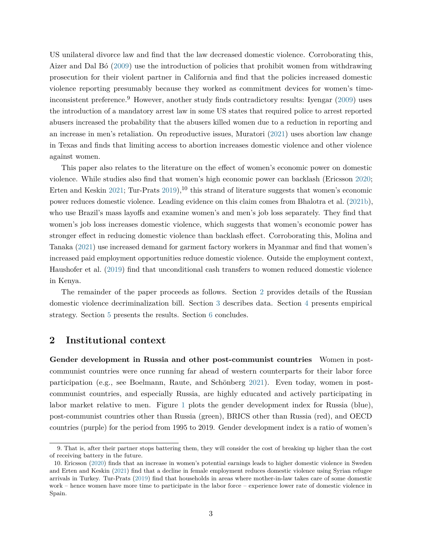US unilateral divorce law and find that the law decreased domestic violence. Corroborating this, Aizer and Dal Bó [\(2009\)](#page-15-5) use the introduction of policies that prohibit women from withdrawing prosecution for their violent partner in California and find that the policies increased domestic violence reporting presumably because they worked as commitment devices for women's timeinconsistent preference.<sup>9</sup> However, another study finds contradictory results: Ivengar  $(2009)$  uses the introduction of a mandatory arrest law in some US states that required police to arrest reported abusers increased the probability that the abusers killed women due to a reduction in reporting and an increase in men's retaliation. On reproductive issues, Muratori [\(2021\)](#page-16-7) uses abortion law change in Texas and finds that limiting access to abortion increases domestic violence and other violence against women.

This paper also relates to the literature on the effect of women's economic power on domestic violence. While studies also find that women's high economic power can backlash (Ericsson [2020;](#page-15-6) Erten and Keskin [2021;](#page-15-7) Tur-Prats  $2019$ ,  $^{10}$  this strand of literature suggests that women's economic power reduces domestic violence. Leading evidence on this claim comes from Bhalotra et al. [\(2021b\)](#page-15-8), who use Brazil's mass layoffs and examine women's and men's job loss separately. They find that women's job loss increases domestic violence, which suggests that women's economic power has stronger effect in reducing domestic violence than backlash effect. Corroborating this, Molina and Tanaka [\(2021\)](#page-16-8) use increased demand for garment factory workers in Myanmar and find that women's increased paid employment opportunities reduce domestic violence. Outside the employment context, Haushofer et al. [\(2019\)](#page-16-9) find that unconditional cash transfers to women reduced domestic violence in Kenya.

The remainder of the paper proceeds as follows. Section [2](#page-2-0) provides details of the Russian domestic violence decriminalization bill. Section [3](#page-7-0) describes data. Section [4](#page-10-0) presents empirical strategy. Section [5](#page-11-0) presents the results. Section [6](#page-13-0) concludes.

#### <span id="page-2-0"></span>**2 Institutional context**

**Gender development in Russia and other post-communist countries** Women in postcommunist countries were once running far ahead of western counterparts for their labor force participation (e.g., see Boelmann, Raute, and Schönberg [2021\)](#page-15-9). Even today, women in postcommunist countries, and especially Russia, are highly educated and actively participating in labor market relative to men. Figure [1](#page-4-0) plots the gender development index for Russia (blue), post-communist countries other than Russia (green), BRICS other than Russia (red), and OECD countries (purple) for the period from 1995 to 2019. Gender development index is a ratio of women's

<sup>9.</sup> That is, after their partner stops battering them, they will consider the cost of breaking up higher than the cost of receiving battery in the future.

<sup>10.</sup> Ericsson [\(2020\)](#page-15-6) finds that an increase in women's potential earnings leads to higher domestic violence in Sweden and Erten and Keskin [\(2021\)](#page-15-7) find that a decline in female employment reduces domestic violence using Syrian refugee arrivals in Turkey. Tur-Prats [\(2019\)](#page-17-0) find that households in areas where mother-in-law takes care of some domestic work – hence women have more time to participate in the labor force – experience lower rate of domestic violence in Spain.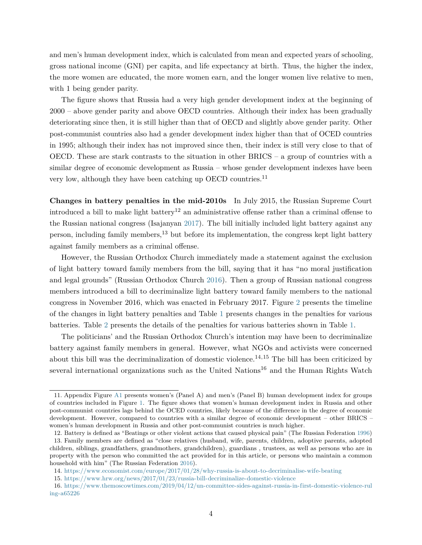and men's human development index, which is calculated from mean and expected years of schooling, gross national income (GNI) per capita, and life expectancy at birth. Thus, the higher the index, the more women are educated, the more women earn, and the longer women live relative to men, with 1 being gender parity.

The figure shows that Russia had a very high gender development index at the beginning of 2000 – above gender parity and above OECD countries. Although their index has been gradually deteriorating since then, it is still higher than that of OECD and slightly above gender parity. Other post-communist countries also had a gender development index higher than that of OCED countries in 1995; although their index has not improved since then, their index is still very close to that of OECD. These are stark contrasts to the situation in other BRICS – a group of countries with a similar degree of economic development as Russia – whose gender development indexes have been very low, although they have been catching up OECD countries.<sup>11</sup>

**Changes in battery penalties in the mid-2010s** In July 2015, the Russian Supreme Court introduced a bill to make light battery<sup>12</sup> an administrative offense rather than a criminal offense to the Russian national congress (Isajanyan [2017\)](#page-16-1). The bill initially included light battery against any person, including family members,<sup>13</sup> but before its implementation, the congress kept light battery against family members as a criminal offense.

However, the Russian Orthodox Church immediately made a statement against the exclusion of light battery toward family members from the bill, saying that it has "no moral justification and legal grounds" (Russian Orthodox Church [2016\)](#page-16-10). Then a group of Russian national congress members introduced a bill to decriminalize light battery toward family members to the national congress in November 2016, which was enacted in February 2017. Figure [2](#page-5-0) presents the timeline of the changes in light battery penalties and Table [1](#page-5-1) presents changes in the penalties for various batteries. Table [2](#page-6-0) presents the details of the penalties for various batteries shown in Table [1.](#page-5-1)

The politicians' and the Russian Orthodox Church's intention may have been to decriminalize battery against family members in general. However, what NGOs and activists were concerned about this bill was the decriminalization of domestic violence.<sup>14,15</sup> The bill has been criticized by several international organizations such as the United Nations<sup>16</sup> and the Human Rights Watch

<sup>11.</sup> Appendix Figure [A1](#page-19-0) presents women's (Panel A) and men's (Panel B) human development index for groups of countries included in Figure [1.](#page-4-0) The figure shows that women's human development index in Russia and other post-communist countries lags behind the OCED countries, likely because of the difference in the degree of economic development. However, compared to countries with a similar degree of economic development – other BRICS – women's human development in Russia and other post-communist countries is much higher.

<sup>12.</sup> Battery is defined as "Beatings or other violent actions that caused physical pain" (The Russian Federation [1996\)](#page-17-1) 13. Family members are defined as "close relatives (husband, wife, parents, children, adoptive parents, adopted children, siblings, grandfathers, grandmothers, grandchildren), guardians , trustees, as well as persons who are in property with the person who committed the act provided for in this article, or persons who maintain a common household with him" (The Russian Federation [2016\)](#page-17-2).

<sup>14.</sup> <https://www.economist.com/europe/2017/01/28/why-russia-is-about-to-decriminalise-wife-beating>

<sup>15.</sup> <https://www.hrw.org/news/2017/01/23/russia-bill-decriminalize-domestic-violence>

<sup>16.</sup> [https://www.themoscowtimes.com/2019/04/12/un-committee-sides-against-russia-in-first-domestic-violence-rul](https://www.themoscowtimes.com/2019/04/12/un-committee-sides-against-russia-in-first-domestic-violence-ruling-a65226) [ing-a65226](https://www.themoscowtimes.com/2019/04/12/un-committee-sides-against-russia-in-first-domestic-violence-ruling-a65226)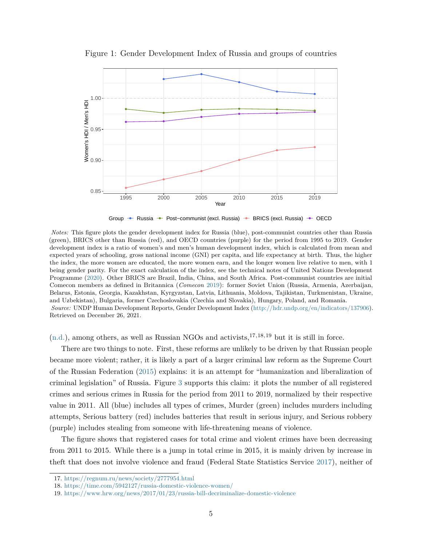<span id="page-4-0"></span>

Figure 1: Gender Development Index of Russia and groups of countries

Group → Russia → Post–communist (excl. Russia) → BRICS (excl. Russia) → OECD

*Notes:* This figure plots the gender development index for Russia (blue), post-communist countries other than Russia (green), BRICS other than Russia (red), and OECD countries (purple) for the period from 1995 to 2019. Gender development index is a ratio of women's and men's human development index, which is calculated from mean and expected years of schooling, gross national income (GNI) per capita, and life expectancy at birth. Thus, the higher the index, the more women are educated, the more women earn, and the longer women live relative to men, with 1 being gender parity. For the exact calculation of the index, see the technical notes of United Nations Development Programme [\(2020\)](#page-17-3). Other BRICS are Brazil, India, China, and South Africa. Post-communist countries are initial Comecon members as defined in Britannica (*Comecon* [2019\)](#page-15-10): former Soviet Union (Russia, Armenia, Azerbaijan, Belarus, Estonia, Georgia, Kazakhstan, Kyrgyzstan, Latvia, Lithuania, Moldova, Tajikistan, Turkmenistan, Ukraine, and Uzbekistan), Bulgaria, former Czechoslovakia (Czechia and Slovakia), Hungary, Poland, and Romania. *Source:* UNDP Human Development Reports, Gender Development Index [\(http://hdr.undp.org/en/indicators/137906\)](http://hdr.undp.org/en/indicators/137906). Retrieved on December 26, 2021.

 $(n.d.),$  $(n.d.),$  among others, as well as Russian NGOs and activists,  $17,18,19$  but it is still in force.

There are two things to note. First, these reforms are unlikely to be driven by that Russian people became more violent; rather, it is likely a part of a larger criminal law reform as the Supreme Court of the Russian Federation [\(2015\)](#page-16-11) explains: it is an attempt for "humanization and liberalization of criminal legislation" of Russia. Figure [3](#page-6-1) supports this claim: it plots the number of all registered crimes and serious crimes in Russia for the period from 2011 to 2019, normalized by their respective value in 2011. All (blue) includes all types of crimes, Murder (green) includes murders including attempts, Serious battery (red) includes batteries that result in serious injury, and Serious robbery (purple) includes stealing from someone with life-threatening means of violence.

The figure shows that registered cases for total crime and violent crimes have been decreasing from 2011 to 2015. While there is a jump in total crime in 2015, it is mainly driven by increase in theft that does not involve violence and fraud (Federal State Statistics Service [2017\)](#page-15-11), neither of

<sup>17.</sup> <https://regnum.ru/news/society/2777954.html>

<sup>18.</sup> <https://time.com/5942127/russia-domestic-violence-women/>

<sup>19.</sup> <https://www.hrw.org/news/2017/01/23/russia-bill-decriminalize-domestic-violence>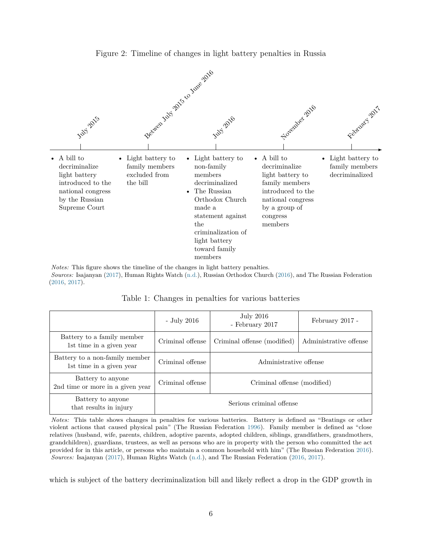<span id="page-5-0"></span>

Figure 2: Timeline of changes in light battery penalties in Russia

*Notes:* This figure shows the timeline of the changes in light battery penalties. *Sources:* Isajanyan [\(2017\)](#page-16-1), Human Rights Watch [\(n.d.\)](#page-16-2), Russian Orthodox Church [\(2016\)](#page-16-10), and The Russian Federation [\(2016,](#page-17-2) [2017\)](#page-17-4).

Table 1: Changes in penalties for various batteries

<span id="page-5-1"></span>

|                                                            | - July 2016              | July 2016<br>- February 2017 | February 2017 -        |  |  |
|------------------------------------------------------------|--------------------------|------------------------------|------------------------|--|--|
| Battery to a family member<br>1st time in a given year     | Criminal offense         | Criminal offense (modified)  | Administrative offense |  |  |
| Battery to a non-family member<br>1st time in a given year | Criminal offense         | Administrative offense       |                        |  |  |
| Battery to anyone<br>2nd time or more in a given year      | Criminal offense         | Criminal offense (modified)  |                        |  |  |
| Battery to anyone<br>that results in injury                | Serious criminal offense |                              |                        |  |  |

*Notes:* This table shows changes in penalties for various batteries. Battery is defined as "Beatings or other violent actions that caused physical pain" (The Russian Federation [1996\)](#page-17-1). Family member is defined as "close relatives (husband, wife, parents, children, adoptive parents, adopted children, siblings, grandfathers, grandmothers, grandchildren), guardians, trustees, as well as persons who are in property with the person who committed the act provided for in this article, or persons who maintain a common household with him" (The Russian Federation [2016\)](#page-17-2). *Sources:* Isajanyan [\(2017\)](#page-16-1), Human Rights Watch [\(n.d.\)](#page-16-2), and The Russian Federation [\(2016,](#page-17-2) [2017\)](#page-17-4).

which is subject of the battery decriminalization bill and likely reflect a drop in the GDP growth in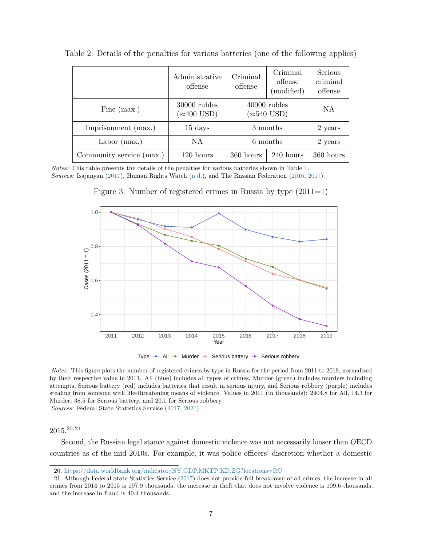|                          | Administrative<br>offense           | Criminal<br>offense                   | Criminal<br>offense<br>(modified) | Serious<br>criminal<br>offense |  |         |
|--------------------------|-------------------------------------|---------------------------------------|-----------------------------------|--------------------------------|--|---------|
| Fine $(max.)$            | 30000 rubles<br>$(\approx 400$ USD) | $40000$ rubles<br>$(\approx 540$ USD) | NA                                |                                |  |         |
| Imprisonment (max.)      | $15 \ \mathrm{days}$                | 3 months                              |                                   | 2 years                        |  |         |
| Labor $(max.)$           | NA                                  | 6 months                              |                                   |                                |  | 2 years |
| Community service (max.) | 120 hours                           | 360 hours                             | 240 hours                         | 360 hours                      |  |         |

<span id="page-6-0"></span>Table 2: Details of the penalties for various batteries (one of the following applies)

<span id="page-6-1"></span>*Notes:* This table presents the details of the penalties for various batteries shown in Table [1.](#page-5-1) *Sources:* Isajanyan [\(2017\)](#page-16-1), Human Rights Watch [\(n.d.\)](#page-16-2), and The Russian Federation [\(2016,](#page-17-2) [2017\)](#page-17-4).

Figure 3: Number of registered crimes in Russia by type (2011=1)



Type  $\rightarrow$  All  $\rightarrow$  Murder  $\rightarrow$  Serious battery  $\rightarrow$  Serious robbery

*Notes:* This figure plots the number of registered crimes by type in Russia for the period from 2011 to 2019, normalized by their respective value in 2011. All (blue) includes all types of crimes, Murder (green) includes murders including attempts, Serious battery (red) includes batteries that result in serious injury, and Serious robbery (purple) includes stealing from someone with life-threatening means of violence. Values in 2011 (in thousands): 2404.8 for All, 14.3 for Murder, 38.5 for Serious battery, and 20.1 for Serious robbery. *Sources:* Federal State Statistics Service [\(2017,](#page-15-11) [2021\)](#page-15-12).

 $2015^{20,21}$ 

Second, the Russian legal stance against domestic violence was not necessarily looser than OECD countries as of the mid-2010s. For example, it was police officers' discretion whether a domestic

<sup>20.</sup> <https://data.worldbank.org/indicator/NY.GDP.MKTP.KD.ZG?locations=RU>

<sup>21.</sup> Although Federal State Statistics Service [\(2017\)](#page-15-11) does not provide full breakdown of all crimes, the increase in all crimes from 2014 to 2015 is 197.9 thousands, the increase in theft that does not involve violence is 109.6 thousands, and the increase in fraud is 40.4 thousands.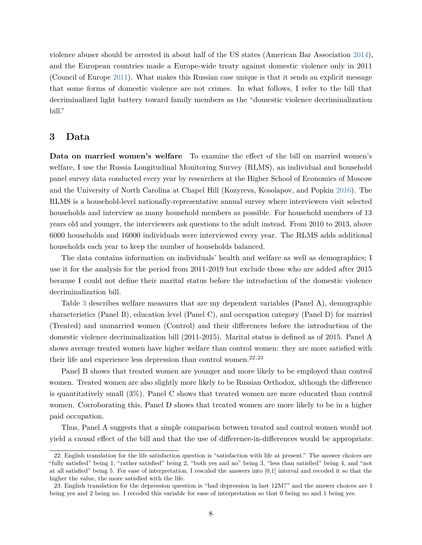violence abuser should be arrested in about half of the US states (American Bar Association [2014\)](#page-15-13), and the European countries made a Europe-wide treaty against domestic violence only in 2011 (Council of Europe [2011\)](#page-15-14). What makes this Russian case unique is that it sends an explicit message that some forms of domestic violence are not crimes. In what follows, I refer to the bill that decriminalized light battery toward family members as the "domestic violence decriminalization bill."

#### <span id="page-7-0"></span>**3 Data**

**Data on married women's welfare** To examine the effect of the bill on married women's welfare, I use the Russia Longitudinal Monitoring Survey (RLMS), an individual and household panel survey data conducted every year by researchers at the Higher School of Economics of Moscow and the University of North Carolina at Chapel Hill (Kozyreva, Kosolapov, and Popkin [2016\)](#page-16-12). The RLMS is a household-level nationally-representative annual survey where interviewers visit selected households and interview as many household members as possible. For household members of 13 years old and younger, the interviewers ask questions to the adult instead. From 2010 to 2013, above 6000 households and 16000 individuals were interviewed every year. The RLMS adds additional households each year to keep the number of households balanced.

The data contains information on individuals' health and welfare as well as demographics; I use it for the analysis for the period from 2011-2019 but exclude those who are added after 2015 because I could not define their marital status before the introduction of the domestic violence decriminalization bill.

Table [3](#page-8-0) describes welfare measures that are my dependent variables (Panel A), demographic characteristics (Panel B), education level (Panel C), and occupation category (Panel D) for married (Treated) and unmarried women (Control) and their differences before the introduction of the domestic violence decriminalization bill (2011-2015). Marital status is defined as of 2015. Panel A shows average treated women have higher welfare than control women: they are more satisfied with their life and experience less depression than control women.<sup>22,23</sup>

Panel B shows that treated women are younger and more likely to be employed than control women. Treated women are also slightly more likely to be Russian Orthodox, although the difference is quantitatively small (3%). Panel C shows that treated women are more educated than control women. Corroborating this, Panel D shows that treated women are more likely to be in a higher paid occupation.

Thus, Panel A suggests that a simple comparison between treated and control women would not yield a causal effect of the bill and that the use of difference-in-differences would be appropriate.

<sup>22.</sup> English translation for the life satisfaction question is "satisfaction with life at present." The answer choices are "fully satisfied" being 1, "rather satisfied" being 2, "both yes and no" being 3, "less than satisfied" being 4, and "not at all satisfied" being 5. For ease of interpretation, I rescaled the answers into [0,1] interval and recoded it so that the higher the value, the more satisfied with the life.

<sup>23.</sup> English translation for the depression question is "had depression in last 12M?" and the answer choices are 1 being yes and 2 being no. I recoded this variable for ease of interpretation so that 0 being no and 1 being yes.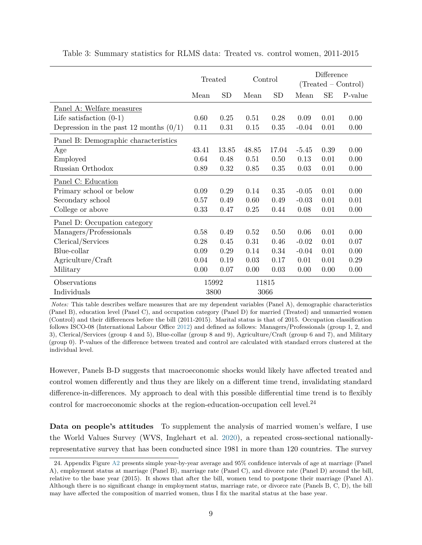|                                          | Treated |           | Control |       | Difference<br>$(Treated - Control)$ |      |         |
|------------------------------------------|---------|-----------|---------|-------|-------------------------------------|------|---------|
|                                          | Mean    | <b>SD</b> | Mean    | SD    | Mean                                | SE   | P-value |
| Panel A: Welfare measures                |         |           |         |       |                                     |      |         |
| Life satisfaction $(0-1)$                | 0.60    | 0.25      | 0.51    | 0.28  | 0.09                                | 0.01 | 0.00    |
| Depression in the past 12 months $(0/1)$ | 0.11    | 0.31      | 0.15    | 0.35  | $-0.04$                             | 0.01 | 0.00    |
| Panel B: Demographic characteristics     |         |           |         |       |                                     |      |         |
| Age                                      | 43.41   | 13.85     | 48.85   | 17.04 | $-5.45$                             | 0.39 | 0.00    |
| Employed                                 | 0.64    | 0.48      | 0.51    | 0.50  | 0.13                                | 0.01 | 0.00    |
| Russian Orthodox                         | 0.89    | 0.32      | 0.85    | 0.35  | 0.03                                | 0.01 | 0.00    |
| Panel C: Education                       |         |           |         |       |                                     |      |         |
| Primary school or below                  | 0.09    | 0.29      | 0.14    | 0.35  | $-0.05$                             | 0.01 | 0.00    |
| Secondary school                         | 0.57    | 0.49      | 0.60    | 0.49  | $-0.03$                             | 0.01 | 0.01    |
| College or above                         | 0.33    | 0.47      | 0.25    | 0.44  | 0.08                                | 0.01 | 0.00    |
| Panel D: Occupation category             |         |           |         |       |                                     |      |         |
| Managers/Professionals                   | 0.58    | 0.49      | 0.52    | 0.50  | 0.06                                | 0.01 | 0.00    |
| Clerical/Services                        | 0.28    | 0.45      | 0.31    | 0.46  | $-0.02$                             | 0.01 | 0.07    |
| Blue-collar                              | 0.09    | 0.29      | 0.14    | 0.34  | $-0.04$                             | 0.01 | 0.00    |
| Agriculture/Craft                        | 0.04    | 0.19      | 0.03    | 0.17  | 0.01                                | 0.01 | 0.29    |
| Military                                 | 0.00    | 0.07      | 0.00    | 0.03  | 0.00                                | 0.00 | 0.00    |
| Observations                             | 15992   |           | 11815   |       |                                     |      |         |
| Individuals                              | 3800    |           | 3066    |       |                                     |      |         |

<span id="page-8-0"></span>Table 3: Summary statistics for RLMS data: Treated vs. control women, 2011-2015

*Notes:* This table describes welfare measures that are my dependent variables (Panel A), demographic characteristics (Panel B), education level (Panel C), and occupation category (Panel D) for married (Treated) and unmarried women (Control) and their differences before the bill (2011-2015). Marital status is that of 2015. Occupation classification follows ISCO-08 (International Labour Office [2012\)](#page-16-13) and defined as follows: Managers/Professionals (group 1, 2, and 3), Clerical/Services (group 4 and 5), Blue-collar (group 8 and 9), Agriculture/Craft (group 6 and 7), and Military (group 0). P-values of the difference between treated and control are calculated with standard errors clustered at the individual level.

However, Panels B-D suggests that macroeconomic shocks would likely have affected treated and control women differently and thus they are likely on a different time trend, invalidating standard difference-in-differences. My approach to deal with this possible differential time trend is to flexibly control for macroeconomic shocks at the region-education-occupation cell level. $^{24}$ 

**Data on people's attitudes** To supplement the analysis of married women's welfare, I use the World Values Survey (WVS, Inglehart et al. [2020\)](#page-16-14), a repeated cross-sectional nationallyrepresentative survey that has been conducted since 1981 in more than 120 countries. The survey

<sup>24.</sup> Appendix Figure [A2](#page-20-0) presents simple year-by-year average and 95% confidence intervals of age at marriage (Panel A), employment status at marriage (Panel B), marriage rate (Panel C), and divorce rate (Panel D) around the bill, relative to the base year (2015). It shows that after the bill, women tend to postpone their marriage (Panel A). Although there is no significant change in employment status, marriage rate, or divorce rate (Panels B, C, D), the bill may have affected the composition of married women, thus I fix the marital status at the base year.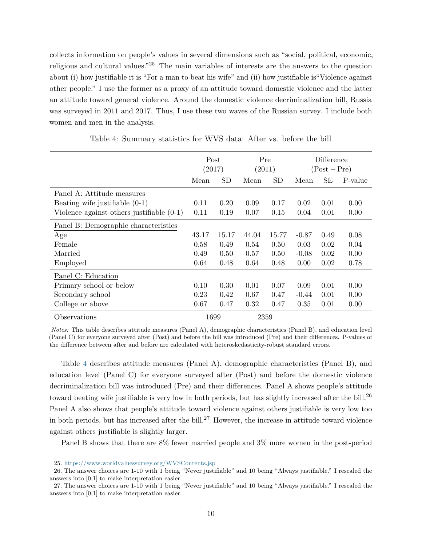collects information on people's values in several dimensions such as "social, political, economic, religious and cultural values."<sup>25</sup> The main variables of interests are the answers to the question about (i) how justifiable it is "For a man to beat his wife" and (ii) how justifiable is"Violence against other people." I use the former as a proxy of an attitude toward domestic violence and the latter an attitude toward general violence. Around the domestic violence decriminalization bill, Russia was surveyed in 2011 and 2017. Thus, I use these two waves of the Russian survey. I include both women and men in the analysis.

<span id="page-9-0"></span>

|                                             | Post<br>(2017) |       | Pre<br>(2011) |       | Difference<br>$(Post - Pre)$ |      |         |
|---------------------------------------------|----------------|-------|---------------|-------|------------------------------|------|---------|
|                                             | Mean           | SD    | Mean          | SD    | Mean                         | SЕ   | P-value |
| Panel A: Attitude measures                  |                |       |               |       |                              |      |         |
| Beating wife justifiable $(0-1)$            | 0.11           | 0.20  | 0.09          | 0.17  | 0.02                         | 0.01 | 0.00    |
| Violence against others justifiable $(0-1)$ | 0.11           | 0.19  | 0.07          | 0.15  | 0.04                         | 0.01 | 0.00    |
| Panel B: Demographic characteristics        |                |       |               |       |                              |      |         |
| Age                                         | 43.17          | 15.17 | 44.04         | 15.77 | $-0.87$                      | 0.49 | 0.08    |
| Female                                      | 0.58           | 0.49  | 0.54          | 0.50  | 0.03                         | 0.02 | 0.04    |
| Married                                     | 0.49           | 0.50  | 0.57          | 0.50  | $-0.08$                      | 0.02 | 0.00    |
| Employed                                    | 0.64           | 0.48  | 0.64          | 0.48  | 0.00                         | 0.02 | 0.78    |
| Panel C: Education                          |                |       |               |       |                              |      |         |
| Primary school or below                     | 0.10           | 0.30  | 0.01          | 0.07  | 0.09                         | 0.01 | 0.00    |
| Secondary school                            | 0.23           | 0.42  | 0.67          | 0.47  | $-0.44$                      | 0.01 | 0.00    |
| College or above                            | 0.67           | 0.47  | 0.32          | 0.47  | 0.35                         | 0.01 | 0.00    |
| Observations                                |                | 1699  | 2359          |       |                              |      |         |

Table 4: Summary statistics for WVS data: After vs. before the bill

*Notes:* This table describes attitude measures (Panel A), demographic characteristics (Panel B), and education level (Panel C) for everyone surveyed after (Post) and before the bill was introduced (Pre) and their differences. P-values of the difference between after and before are calculated with heteroskedasticity-robust standard errors.

Table [4](#page-9-0) describes attitude measures (Panel A), demographic characteristics (Panel B), and education level (Panel C) for everyone surveyed after (Post) and before the domestic violence decriminalization bill was introduced (Pre) and their differences. Panel A shows people's attitude toward beating wife justifiable is very low in both periods, but has slightly increased after the bill.<sup>26</sup> Panel A also shows that people's attitude toward violence against others justifiable is very low too in both periods, but has increased after the bill.<sup>27</sup> However, the increase in attitude toward violence against others justifiable is slightly larger.

Panel B shows that there are 8% fewer married people and 3% more women in the post-period

<sup>25.</sup> <https://www.worldvaluessurvey.org/WVSContents.jsp>

<sup>26.</sup> The answer choices are 1-10 with 1 being "Never justifiable" and 10 being "Always justifiable." I rescaled the answers into [0,1] to make interpretation easier.

<sup>27.</sup> The answer choices are 1-10 with 1 being "Never justifiable" and 10 being "Always justifiable." I rescaled the answers into [0,1] to make interpretation easier.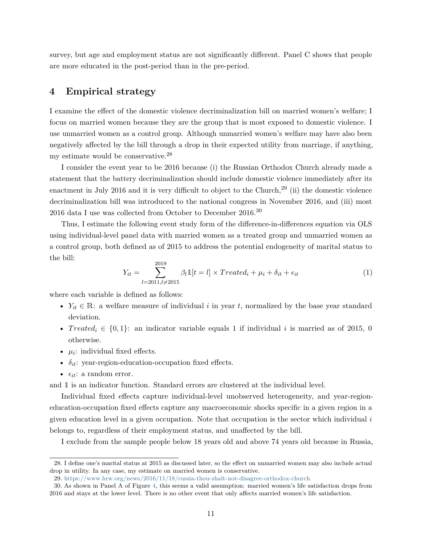survey, but age and employment status are not significantly different. Panel C shows that people are more educated in the post-period than in the pre-period.

#### <span id="page-10-0"></span>**4 Empirical strategy**

I examine the effect of the domestic violence decriminalization bill on married women's welfare; I focus on married women because they are the group that is most exposed to domestic violence. I use unmarried women as a control group. Although unmarried women's welfare may have also been negatively affected by the bill through a drop in their expected utility from marriage, if anything, my estimate would be conservative.<sup>28</sup>

I consider the event year to be 2016 because (i) the Russian Orthodox Church already made a statement that the battery decriminalization should include domestic violence immediately after its enactment in July 2016 and it is very difficult to object to the Church,<sup>29</sup> (ii) the domestic violence decriminalization bill was introduced to the national congress in November 2016, and (iii) most 2016 data I use was collected from October to December  $2016.^{30}$ 

Thus, I estimate the following event study form of the difference-in-differences equation via OLS using individual-level panel data with married women as a treated group and unmarried women as a control group, both defined as of 2015 to address the potential endogeneity of marital status to the bill:

<span id="page-10-1"></span>
$$
Y_{it} = \sum_{l=2011, l \neq 2015}^{2019} \beta_l \mathbb{1}[t=l] \times Treated_i + \mu_i + \delta_{it} + \epsilon_{it}
$$
\n(1)

where each variable is defined as follows:

- $Y_{it} \in \mathbb{R}$ : a welfare measure of individual i in year t, normalized by the base year standard deviation.
- Treated<sub>i</sub>  $\in \{0, 1\}$ : an indicator variable equals 1 if individual i is married as of 2015, 0 otherwise.
- $\mu_i$ : individual fixed effects.
- $\delta_{it}$ : year-region-education-occupation fixed effects.
- $\epsilon_{it}$ : a random error.

and 1 is an indicator function. Standard errors are clustered at the individual level.

Individual fixed effects capture individual-level unobserved heterogeneity, and year-regioneducation-occupation fixed effects capture any macroeconomic shocks specific in a given region in a given education level in a given occupation. Note that occupation is the sector which individual i belongs to, regardless of their employment status, and unaffected by the bill.

I exclude from the sample people below 18 years old and above 74 years old because in Russia,

<sup>28.</sup> I define one's marital status at 2015 as discussed later, so the effect on unmarried women may also include actual drop in utility. In any case, my estimate on married women is conservative.

<sup>29.</sup> <https://www.hrw.org/news/2016/11/18/russia-thou-shalt-not-disagree-orthodox-church>

<sup>30.</sup> As shown in Panel A of Figure [4,](#page-11-1) this seems a valid assumption: married women's life satisfaction drops from 2016 and stays at the lower level. There is no other event that only affects married women's life satisfaction.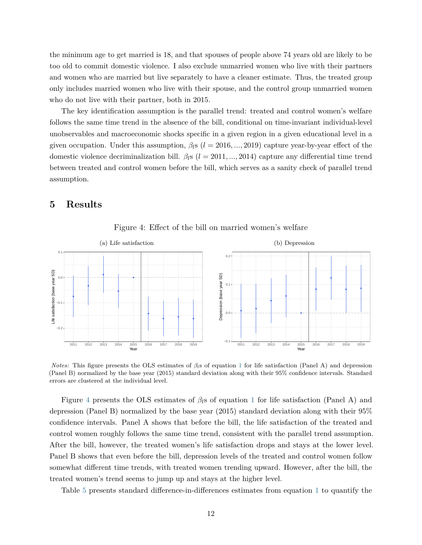the minimum age to get married is 18, and that spouses of people above 74 years old are likely to be too old to commit domestic violence. I also exclude unmarried women who live with their partners and women who are married but live separately to have a cleaner estimate. Thus, the treated group only includes married women who live with their spouse, and the control group unmarried women who do not live with their partner, both in 2015.

The key identification assumption is the parallel trend: treated and control women's welfare follows the same time trend in the absence of the bill, conditional on time-invariant individual-level unobservables and macroeconomic shocks specific in a given region in a given educational level in a given occupation. Under this assumption,  $\beta_l s$  (l = 2016, ..., 2019) capture year-by-year effect of the domestic violence decriminalization bill.  $\beta_{l}$ s ( $l = 2011, ..., 2014$ ) capture any differential time trend between treated and control women before the bill, which serves as a sanity check of parallel trend assumption.

## <span id="page-11-0"></span>**5 Results**

<span id="page-11-1"></span>

Figure 4: Effect of the bill on married women's welfare

*Notes:* This figure presents the OLS estimates of  $\beta$ <sub>l</sub>s of equation [1](#page-10-1) for life satisfaction (Panel A) and depression (Panel B) normalized by the base year (2015) standard deviation along with their 95% confidence intervals. Standard errors are clustered at the individual level.

Figure [4](#page-11-1) presents the OLS estimates of  $\beta_l$ s of equation [1](#page-10-1) for life satisfaction (Panel A) and depression (Panel B) normalized by the base year (2015) standard deviation along with their 95% confidence intervals. Panel A shows that before the bill, the life satisfaction of the treated and control women roughly follows the same time trend, consistent with the parallel trend assumption. After the bill, however, the treated women's life satisfaction drops and stays at the lower level. Panel B shows that even before the bill, depression levels of the treated and control women follow somewhat different time trends, with treated women trending upward. However, after the bill, the treated women's trend seems to jump up and stays at the higher level.

Table [5](#page-12-0) presents standard difference-in-differences estimates from equation [1](#page-10-1) to quantify the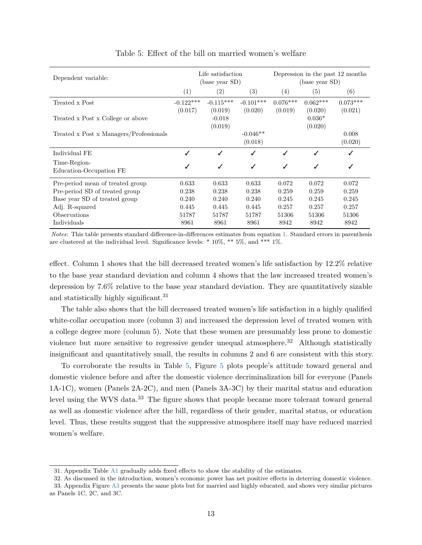<span id="page-12-0"></span>

| Dependent variable:                     |                        | Life satisfaction<br>(base year SD) |                        | Depression in the past 12 months<br>(base year SD) |                       |                       |  |
|-----------------------------------------|------------------------|-------------------------------------|------------------------|----------------------------------------------------|-----------------------|-----------------------|--|
|                                         | (1)                    | (2)                                 | (3)                    | (4)                                                | (5)                   | (6)                   |  |
| Treated x Post                          | $-0.122***$<br>(0.017) | $-0.115***$<br>(0.019)              | $-0.101***$<br>(0.020) | $0.076***$<br>(0.019)                              | $0.062***$<br>(0.020) | $0.073***$<br>(0.021) |  |
| Treated x Post x College or above       |                        | $-0.018$<br>(0.019)                 |                        |                                                    | $0.036*$<br>(0.020)   |                       |  |
| Treated x Post x Managers/Professionals |                        |                                     | $-0.046**$<br>(0.018)  |                                                    |                       | 0.008<br>(0.020)      |  |
| Individual FE                           | ✓                      | J                                   | $\checkmark$           |                                                    | ✓                     | $\checkmark$          |  |
| Time-Region-<br>Education-Occupation FE |                        | ✓                                   | ✓                      | ✓                                                  | ✓                     |                       |  |
| Pre-period mean of treated group        | 0.633                  | 0.633                               | 0.633                  | 0.072                                              | 0.072                 | 0.072                 |  |
| Pre-period SD of treated group          | 0.238                  | 0.238                               | 0.238                  | 0.259                                              | 0.259                 | 0.259                 |  |
| Base year SD of treated group           | 0.240                  | 0.240                               | 0.240                  | 0.245                                              | 0.245                 | 0.245                 |  |
| Adj. R-squared                          | 0.445                  | 0.445                               | 0.445                  | 0.257                                              | 0.257                 | 0.257                 |  |
| Observations                            | 51787                  | 51787                               | 51787                  | 51306                                              | 51306                 | 51306                 |  |
| Individuals                             | 8961                   | 8961                                | 8961                   | 8942                                               | 8942                  | 8942                  |  |

#### Table 5: Effect of the bill on married women's welfare

*Notes:* This table presents standard difference-in-differences estimates from equation [1.](#page-10-1) Standard errors in parenthesis are clustered at the individual level. Significance levels: \* 10%, \*\* 5%, and \*\*\* 1%.

effect. Column 1 shows that the bill decreased treated women's life satisfaction by 12.2% relative to the base year standard deviation and column 4 shows that the law increased treated women's depression by 7.6% relative to the base year standard deviation. They are quantitatively sizable and statistically highly significant.<sup>31</sup>

The table also shows that the bill decreased treated women's life satisfaction in a highly qualified white-collar occupation more (column 3) and increased the depression level of treated women with a college degree more (column 5). Note that these women are presumably less prone to domestic violence but more sensitive to regressive gender unequal atmosphere.<sup>32</sup> Although statistically insignificant and quantitatively small, the results in columns 2 and 6 are consistent with this story.

To corroborate the results in Table [5,](#page-12-0) Figure [5](#page-13-1) plots people's attitude toward general and domestic violence before and after the domestic violence decriminalization bill for everyone (Panels 1A-1C), women (Panels 2A-2C), and men (Panels 3A-3C) by their marital status and education level using the WVS data.<sup>33</sup> The figure shows that people became more tolerant toward general as well as domestic violence after the bill, regardless of their gender, marital status, or education level. Thus, these results suggest that the suppressive atmosphere itself may have reduced married women's welfare.

<sup>31.</sup> Appendix Table [A1](#page-18-0) gradually adds fixed effects to show the stability of the estimates.

<sup>32.</sup> As discussed in the introduction, women's economic power has net positive effects in deterring domestic violence. 33. Appendix Figure [A3](#page-21-0) presents the same plots but for married and highly educated, and shows very similar pictures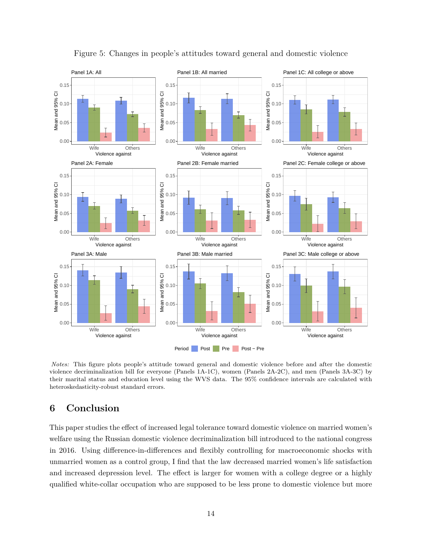<span id="page-13-1"></span>

Figure 5: Changes in people's attitudes toward general and domestic violence

*Notes:* This figure plots people's attitude toward general and domestic violence before and after the domestic violence decriminalization bill for everyone (Panels 1A-1C), women (Panels 2A-2C), and men (Panels 3A-3C) by their marital status and education level using the WVS data. The 95% confidence intervals are calculated with heteroskedasticity-robust standard errors.

## <span id="page-13-0"></span>**6 Conclusion**

This paper studies the effect of increased legal tolerance toward domestic violence on married women's welfare using the Russian domestic violence decriminalization bill introduced to the national congress in 2016. Using difference-in-differences and flexibly controlling for macroeconomic shocks with unmarried women as a control group, I find that the law decreased married women's life satisfaction and increased depression level. The effect is larger for women with a college degree or a highly qualified white-collar occupation who are supposed to be less prone to domestic violence but more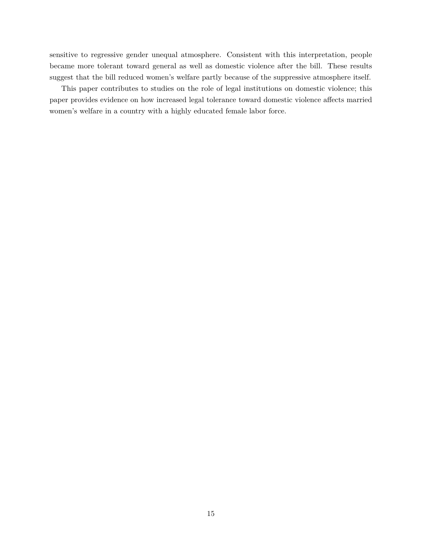sensitive to regressive gender unequal atmosphere. Consistent with this interpretation, people became more tolerant toward general as well as domestic violence after the bill. These results suggest that the bill reduced women's welfare partly because of the suppressive atmosphere itself.

This paper contributes to studies on the role of legal institutions on domestic violence; this paper provides evidence on how increased legal tolerance toward domestic violence affects married women's welfare in a country with a highly educated female labor force.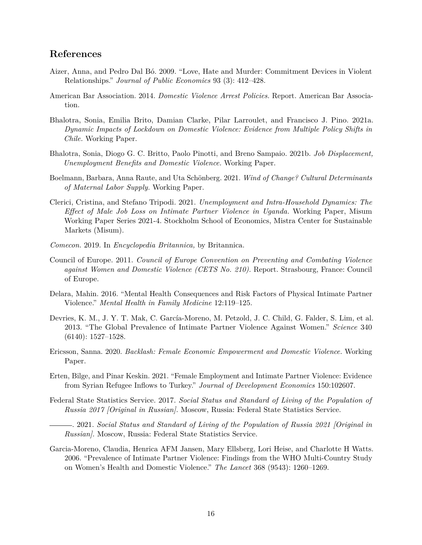## **References**

- <span id="page-15-5"></span>Aizer, Anna, and Pedro Dal Bó. 2009. "Love, Hate and Murder: Commitment Devices in Violent Relationships." *Journal of Public Economics* 93 (3): 412–428.
- <span id="page-15-13"></span>American Bar Association. 2014. *Domestic Violence Arrest Policies.* Report. American Bar Association.
- <span id="page-15-1"></span>Bhalotra, Sonia, Emilia Brito, Damian Clarke, Pilar Larroulet, and Francisco J. Pino. 2021a. *Dynamic Impacts of Lockdown on Domestic Violence: Evidence from Multiple Policy Shifts in Chile.* Working Paper.
- <span id="page-15-8"></span>Bhalotra, Sonia, Diogo G. C. Britto, Paolo Pinotti, and Breno Sampaio. 2021b. *Job Displacement, Unemployment Benefits and Domestic Violence.* Working Paper.
- <span id="page-15-9"></span>Boelmann, Barbara, Anna Raute, and Uta Schönberg. 2021. *Wind of Change? Cultural Determinants of Maternal Labor Supply.* Working Paper.
- <span id="page-15-2"></span>Clerici, Cristina, and Stefano Tripodi. 2021. *Unemployment and Intra-Household Dynamics: The Effect of Male Job Loss on Intimate Partner Violence in Uganda.* Working Paper, Misum Working Paper Series 2021-4. Stockholm School of Economics, Mistra Center for Sustainable Markets (Misum).
- <span id="page-15-10"></span>*Comecon.* 2019. In *Encyclopedia Britannica,* by Britannica.
- <span id="page-15-14"></span>Council of Europe. 2011. *Council of Europe Convention on Preventing and Combating Violence against Women and Domestic Violence (CETS No. 210).* Report. Strasbourg, France: Council of Europe.
- <span id="page-15-0"></span>Delara, Mahin. 2016. "Mental Health Consequences and Risk Factors of Physical Intimate Partner Violence." *Mental Health in Family Medicine* 12:119–125.
- <span id="page-15-3"></span>Devries, K. M., J. Y. T. Mak, C. García-Moreno, M. Petzold, J. C. Child, G. Falder, S. Lim, et al. 2013. "The Global Prevalence of Intimate Partner Violence Against Women." *Science* 340 (6140): 1527–1528.
- <span id="page-15-6"></span>Ericsson, Sanna. 2020. *Backlash: Female Economic Empowerment and Domestic Violence.* Working Paper.
- <span id="page-15-7"></span>Erten, Bilge, and Pinar Keskin. 2021. "Female Employment and Intimate Partner Violence: Evidence from Syrian Refugee Inflows to Turkey." *Journal of Development Economics* 150:102607.
- <span id="page-15-11"></span>Federal State Statistics Service. 2017. *Social Status and Standard of Living of the Population of Russia 2017 [Original in Russian].* Moscow, Russia: Federal State Statistics Service.

<span id="page-15-12"></span>. 2021. *Social Status and Standard of Living of the Population of Russia 2021 [Original in Russian].* Moscow, Russia: Federal State Statistics Service.

<span id="page-15-4"></span>Garcia-Moreno, Claudia, Henrica AFM Jansen, Mary Ellsberg, Lori Heise, and Charlotte H Watts. 2006. "Prevalence of Intimate Partner Violence: Findings from the WHO Multi-Country Study on Women's Health and Domestic Violence." *The Lancet* 368 (9543): 1260–1269.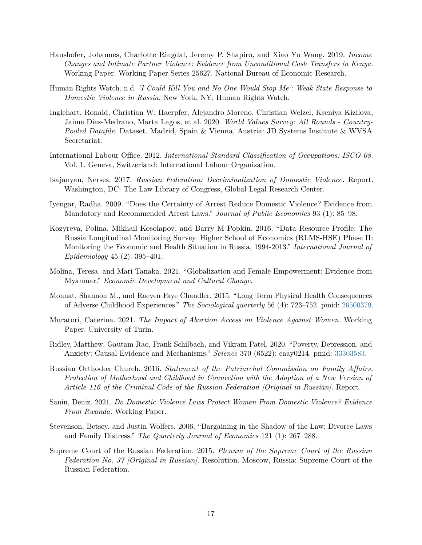- <span id="page-16-9"></span>Haushofer, Johannes, Charlotte Ringdal, Jeremy P. Shapiro, and Xiao Yu Wang. 2019. *Income Changes and Intimate Partner Violence: Evidence from Unconditional Cash Transfers in Kenya.* Working Paper, Working Paper Series 25627. National Bureau of Economic Research.
- <span id="page-16-2"></span>Human Rights Watch. n.d. *'I Could Kill You and No One Would Stop Me': Weak State Response to Domestic Violence in Russia.* New York, NY: Human Rights Watch.
- <span id="page-16-14"></span>Inglehart, Ronald, Christian W. Haerpfer, Alejandro Moreno, Christian Welzel, Kseniya Kizilova, Jaime Díez-Medrano, Marta Lagos, et al. 2020. *World Values Survey: All Rounds - Country-Pooled Datafile.* Dataset. Madrid, Spain & Vienna, Austria: JD Systems Institute & WVSA Secretariat.
- <span id="page-16-13"></span>International Labour Office. 2012. *International Standard Classification of Occupations: ISCO-08.* Vol. 1. Geneva, Switzerland: International Labour Organization.
- <span id="page-16-1"></span>Isajanyan, Nerses. 2017. *Russian Federation: Decriminalization of Domestic Violence.* Report. Washington, DC: The Law Library of Congress, Global Legal Research Center.
- <span id="page-16-6"></span>Iyengar, Radha. 2009. "Does the Certainty of Arrest Reduce Domestic Violence? Evidence from Mandatory and Recommended Arrest Laws." *Journal of Public Economics* 93 (1): 85–98.
- <span id="page-16-12"></span>Kozyreva, Polina, Mikhail Kosolapov, and Barry M Popkin. 2016. "Data Resource Profile: The Russia Longitudinal Monitoring Survey–Higher School of Economics (RLMS-HSE) Phase II: Monitoring the Economic and Health Situation in Russia, 1994-2013." *International Journal of Epidemiology* 45 (2): 395–401.
- <span id="page-16-8"></span>Molina, Teresa, and Mari Tanaka. 2021. "Globalization and Female Empowerment: Evidence from Myanmar." *Economic Development and Cultural Change.*
- <span id="page-16-0"></span>Monnat, Shannon M., and Raeven Faye Chandler. 2015. "Long Term Physical Health Consequences of Adverse Childhood Experiences." *The Sociological quarterly* 56 (4): 723–752. pmid: [26500379.](26500379)
- <span id="page-16-7"></span>Muratori, Caterina. 2021. *The Impact of Abortion Access on Violence Against Women.* Working Paper. University of Turin.
- <span id="page-16-5"></span>Ridley, Matthew, Gautam Rao, Frank Schilbach, and Vikram Patel. 2020. "Poverty, Depression, and Anxiety: Causal Evidence and Mechanisms." *Science* 370 (6522): eaay0214. pmid: [33303583.](33303583)
- <span id="page-16-10"></span>Russian Orthodox Church. 2016. *Statement of the Patriarchal Commission on Family Affairs, Protection of Motherhood and Childhood in Connection with the Adoption of a New Version of Article 116 of the Criminal Code of the Russian Federation [Original in Russian].* Report.
- <span id="page-16-3"></span>Sanin, Deniz. 2021. *Do Domestic Violence Laws Protect Women From Domestic Violence? Evidence From Rwanda.* Working Paper.
- <span id="page-16-4"></span>Stevenson, Betsey, and Justin Wolfers. 2006. "Bargaining in the Shadow of the Law: Divorce Laws and Family Distress." *The Quarterly Journal of Economics* 121 (1): 267–288.
- <span id="page-16-11"></span>Supreme Court of the Russian Federation. 2015. *Plenum of the Supreme Court of the Russian Federation No. 37 [Original in Russian].* Resolution. Moscow, Russia: Supreme Court of the Russian Federation.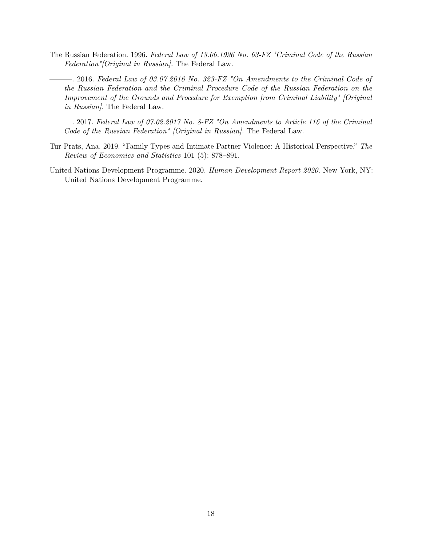- <span id="page-17-2"></span><span id="page-17-1"></span>The Russian Federation. 1996. *Federal Law of 13.06.1996 No. 63-FZ "Criminal Code of the Russian Federation"[Original in Russian].* The Federal Law.
	- . 2016. *Federal Law of 03.07.2016 No. 323-FZ "On Amendments to the Criminal Code of the Russian Federation and the Criminal Procedure Code of the Russian Federation on the Improvement of the Grounds and Procedure for Exemption from Criminal Liability" [Original in Russian].* The Federal Law.
	- . 2017. *Federal Law of 07.02.2017 No. 8-FZ "On Amendments to Article 116 of the Criminal Code of the Russian Federation" [Original in Russian].* The Federal Law.
- <span id="page-17-4"></span><span id="page-17-0"></span>Tur-Prats, Ana. 2019. "Family Types and Intimate Partner Violence: A Historical Perspective." *The Review of Economics and Statistics* 101 (5): 878–891.
- <span id="page-17-3"></span>United Nations Development Programme. 2020. *Human Development Report 2020.* New York, NY: United Nations Development Programme.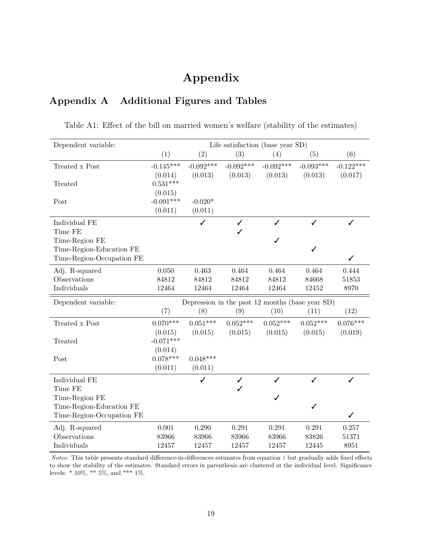# **Appendix**

## **Appendix A Additional Figures and Tables**

| Dependent variable:       | Life satisfaction (base year SD) |                      |                   |                                                 |             |              |  |
|---------------------------|----------------------------------|----------------------|-------------------|-------------------------------------------------|-------------|--------------|--|
|                           | (1)                              | (2)                  | (3)               | (4)                                             | (5)         | (6)          |  |
| Treated x Post            | $-0.145***$                      | $-0.092***$          | $-0.092***$       | $-0.092***$                                     | $-0.093***$ | $-0.122***$  |  |
|                           | (0.014)                          | (0.013)              | (0.013)           | (0.013)                                         | (0.013)     | (0.017)      |  |
| Treated                   | $0.531***$                       |                      |                   |                                                 |             |              |  |
|                           | (0.015)<br>$-0.091***$           |                      |                   |                                                 |             |              |  |
| Post                      | (0.011)                          | $-0.020*$<br>(0.011) |                   |                                                 |             |              |  |
|                           |                                  |                      |                   |                                                 |             |              |  |
| Individual FE<br>Time FE  |                                  | ✓                    | $\checkmark$<br>✓ | ✓                                               | ℐ           | ✓            |  |
| Time-Region FE            |                                  |                      |                   | ✓                                               |             |              |  |
| Time-Region-Education FE  |                                  |                      |                   |                                                 | ✓           |              |  |
| Time-Region-Occupation FE |                                  |                      |                   |                                                 |             | $\checkmark$ |  |
| Adj. R-squared            | 0.050                            | 0.463                | 0.464             | 0.464                                           | 0.464       | 0.444        |  |
| Observations              | 84812                            | 84812                | 84812             | 84812                                           | 84668       | 51853        |  |
| Individuals               | 12464                            | 12464                | 12464             | 12464                                           | 12452       | 8970         |  |
| Dependent variable:       |                                  |                      |                   | Depression in the past 12 months (base year SD) |             |              |  |
|                           | (7)                              | (8)                  | (9)               | (10)                                            | (11)        | (12)         |  |
| Treated x Post            | $0.070***$                       | $0.051***$           | $0.052***$        | $0.052***$                                      | $0.052***$  | $0.076***$   |  |
|                           | (0.015)                          | (0.015)              | (0.015)           | (0.015)                                         | (0.015)     | (0.019)      |  |
| Treated                   | $-0.071***$                      |                      |                   |                                                 |             |              |  |
|                           | (0.014)                          |                      |                   |                                                 |             |              |  |
| Post                      | $0.078***$                       | $0.048***$           |                   |                                                 |             |              |  |
|                           | (0.011)                          | (0.011)              |                   |                                                 |             |              |  |
| Individual FE             |                                  | ✓                    | $\checkmark$      | J                                               | ✓           | $\checkmark$ |  |
| Time FE<br>Time-Region FE |                                  |                      |                   | ✓                                               |             |              |  |
| Time-Region-Education FE  |                                  |                      |                   |                                                 | ✓           |              |  |
| Time-Region-Occupation FE |                                  |                      |                   |                                                 |             | $\checkmark$ |  |
| Adj. R-squared            | 0.001                            | 0.290                | 0.291             | 0.291                                           | 0.291       | 0.257        |  |
| Observations              | 83966                            | 83966                | 83966             | 83966                                           | 83826       | 51371        |  |
| Individuals               | 12457                            | 12457                | 12457             | 12457                                           | 12445       | 8951         |  |

<span id="page-18-0"></span>Table A1: Effect of the bill on married women's welfare (stability of the estimates)

*Notes:* This table presents standard difference-in-differences estimates from equation [1](#page-10-1) but gradually adds fixed effects to show the stability of the estimates. Standard errors in parenthesis are clustered at the individual level. Significance levels: \* 10%, \*\* 5%, and \*\*\* 1%.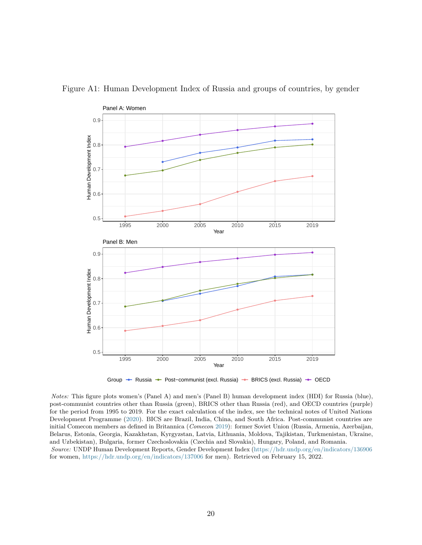

<span id="page-19-0"></span>Figure A1: Human Development Index of Russia and groups of countries, by gender

Group → Russia → Post–communist (excl. Russia) → BRICS (excl. Russia) → OECD

*Notes:* This figure plots women's (Panel A) and men's (Panel B) human development index (HDI) for Russia (blue), post-communist countries other than Russia (green), BRICS other than Russia (red), and OECD countries (purple) for the period from 1995 to 2019. For the exact calculation of the index, see the technical notes of United Nations Development Programme [\(2020\)](#page-17-3). BICS are Brazil, India, China, and South Africa. Post-communist countries are initial Comecon members as defined in Britannica (*Comecon* [2019\)](#page-15-10): former Soviet Union (Russia, Armenia, Azerbaijan, Belarus, Estonia, Georgia, Kazakhstan, Kyrgyzstan, Latvia, Lithuania, Moldova, Tajikistan, Turkmenistan, Ukraine, and Uzbekistan), Bulgaria, former Czechoslovakia (Czechia and Slovakia), Hungary, Poland, and Romania. *Source:* UNDP Human Development Reports, Gender Development Index [\(https://hdr.undp.org/en/indicators/136906](https://hdr.undp.org/en/indicators/136906) for women, <https://hdr.undp.org/en/indicators/137006> for men). Retrieved on February 15, 2022.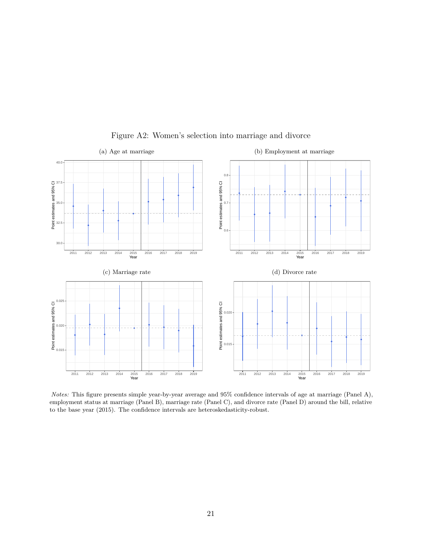<span id="page-20-0"></span>

### Figure A2: Women's selection into marriage and divorce

*Notes:* This figure presents simple year-by-year average and 95% confidence intervals of age at marriage (Panel A), employment status at marriage (Panel B), marriage rate (Panel C), and divorce rate (Panel D) around the bill, relative to the base year (2015). The confidence intervals are heteroskedasticity-robust.